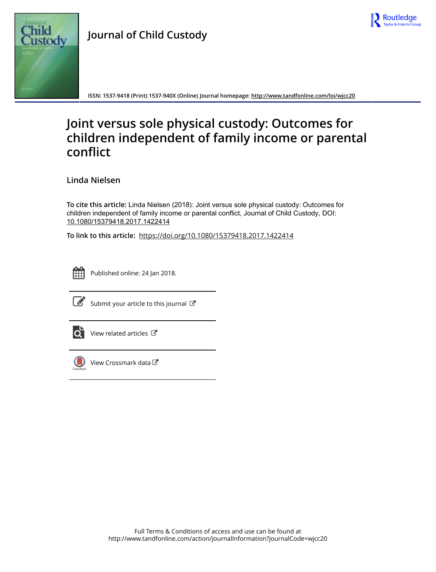



**ISSN: 1537-9418 (Print) 1537-940X (Online) Journal homepage: <http://www.tandfonline.com/loi/wjcc20>**

# **Joint versus sole physical custody: Outcomes for children independent of family income or parental conflict**

**Linda Nielsen**

**To cite this article:** Linda Nielsen (2018): Joint versus sole physical custody: Outcomes for children independent of family income or parental conflict, Journal of Child Custody, DOI: [10.1080/15379418.2017.1422414](http://www.tandfonline.com/action/showCitFormats?doi=10.1080/15379418.2017.1422414)

**To link to this article:** <https://doi.org/10.1080/15379418.2017.1422414>



Published online: 24 Jan 2018.



 $\mathbb{Z}$  [Submit your article to this journal](http://www.tandfonline.com/action/authorSubmission?journalCode=wjcc20&show=instructions)  $\mathbb{Z}$ 



 $\overline{\mathbf{Q}}$  [View related articles](http://www.tandfonline.com/doi/mlt/10.1080/15379418.2017.1422414)  $\mathbf{C}$ 



 $\bigcirc$  [View Crossmark data](http://crossmark.crossref.org/dialog/?doi=10.1080/15379418.2017.1422414&domain=pdf&date_stamp=2018-01-24) $\mathbb{Z}$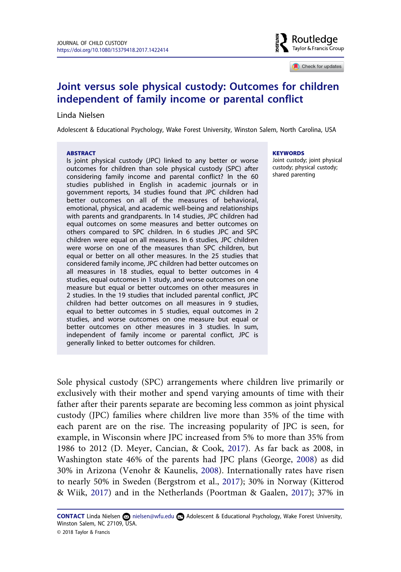

 $\Box$  Check for updates

# **Joint versus sole physical custody: Outcomes for children independent of family income or parental conflict**

#### Linda Nielsen

Adolescent & Educational Psychology, Wake Forest University, Winston Salem, North Carolina, USA

#### **ABSTRACT**

Is joint physical custody (JPC) linked to any better or worse outcomes for children than sole physical custody (SPC) after considering family income and parental conflict? In the 60 studies published in English in academic journals or in government reports, 34 studies found that JPC children had better outcomes on all of the measures of behavioral, emotional, physical, and academic well-being and relationships with parents and grandparents. In 14 studies, JPC children had equal outcomes on some measures and better outcomes on others compared to SPC children. In 6 studies JPC and SPC children were equal on all measures. In 6 studies, JPC children were worse on one of the measures than SPC children, but equal or better on all other measures. In the 25 studies that considered family income, JPC children had better outcomes on all measures in 18 studies, equal to better outcomes in 4 studies, equal outcomes in 1 study, and worse outcomes on one measure but equal or better outcomes on other measures in 2 studies. In the 19 studies that included parental conflict, JPC children had better outcomes on all measures in 9 studies, equal to better outcomes in 5 studies, equal outcomes in 2 studies, and worse outcomes on one measure but equal or better outcomes on other measures in 3 studies. In sum, independent of family income or parental conflict, JPC is generally linked to better outcomes for children.

#### **KEYWORDS**

Joint custody; joint physical custody; physical custody; shared parenting

Sole physical custody (SPC) arrangements where children live primarily or exclusively with their mother and spend varying amounts of time with their father after their parents separate are becoming less common as joint physical custody (JPC) families where children live more than 35% of the time with each parent are on the rise. The increasing popularity of JPC is seen, for example, in Wisconsin where JPC increased from 5% to more than 35% from 1986 to 2012 (D. Meyer, Cancian, & Cook, [2017](#page-18-0)). As far back as 2008, in Washington state 46% of the parents had JPC plans (George, [2008\)](#page-18-0) as did 30% in Arizona (Venohr & Kaunelis, [2008\)](#page-20-0). Internationally rates have risen to nearly 50% in Sweden (Bergstrom et al., [2017](#page-19-0)); 30% in Norway (Kitterod & Wiik, [2017](#page-18-0)) and in the Netherlands (Poortman & Gaalen, [2017\)](#page-19-0); 37% in

CONTACT Linda Nielsen a[nielsen@wfu.edu](mailto:nielsen@wfu.edu) **Adolescent & Educational Psychology, Wake Forest University,** Winston Salem, NC 27109, USA. © 2018 Taylor & Francis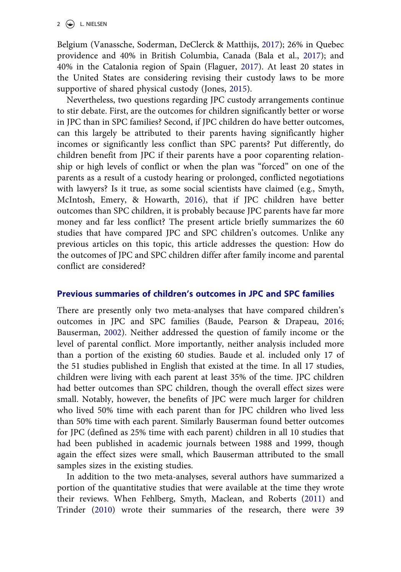Belgium (Vanassche, Soderman, DeClerck & Matthijs, [2017](#page-19-0)); 26% in Quebec providence and 40% in British Columbia, Canada (Bala et al., [2017](#page-17-0)); and 40% in the Catalonia region of Spain (Flaguer, [2017\)](#page-18-0). At least 20 states in the United States are considering revising their custody laws to be more supportive of shared physical custody (Jones, [2015](#page-18-0)).

Nevertheless, two questions regarding JPC custody arrangements continue to stir debate. First, are the outcomes for children significantly better or worse in JPC than in SPC families? Second, if JPC children do have better outcomes, can this largely be attributed to their parents having significantly higher incomes or significantly less conflict than SPC parents? Put differently, do children benefit from JPC if their parents have a poor coparenting relationship or high levels of conflict or when the plan was "forced" on one of the parents as a result of a custody hearing or prolonged, conflicted negotiations with lawyers? Is it true, as some social scientists have claimed (e.g., Smyth, McIntosh, Emery, & Howarth, [2016](#page-19-0)), that if JPC children have better outcomes than SPC children, it is probably because JPC parents have far more money and far less conflict? The present article briefly summarizes the 60 studies that have compared JPC and SPC children's outcomes. Unlike any previous articles on this topic, this article addresses the question: How do the outcomes of JPC and SPC children differ after family income and parental conflict are considered?

### **Previous summaries of children's outcomes in JPC and SPC families**

There are presently only two meta-analyses that have compared children's outcomes in JPC and SPC families (Baude, Pearson & Drapeau, [2016;](#page-17-0) Bauserman, [2002\)](#page-17-0). Neither addressed the question of family income or the level of parental conflict. More importantly, neither analysis included more than a portion of the existing 60 studies. Baude et al. included only 17 of the 51 studies published in English that existed at the time. In all 17 studies, children were living with each parent at least 35% of the time. JPC children had better outcomes than SPC children, though the overall effect sizes were small. Notably, however, the benefits of JPC were much larger for children who lived 50% time with each parent than for JPC children who lived less than 50% time with each parent. Similarly Bauserman found better outcomes for JPC (defined as 25% time with each parent) children in all 10 studies that had been published in academic journals between 1988 and 1999, though again the effect sizes were small, which Bauserman attributed to the small samples sizes in the existing studies.

In addition to the two meta-analyses, several authors have summarized a portion of the quantitative studies that were available at the time they wrote their reviews. When Fehlberg, Smyth, Maclean, and Roberts ([2011\)](#page-18-0) and Trinder ([2010\)](#page-19-0) wrote their summaries of the research, there were 39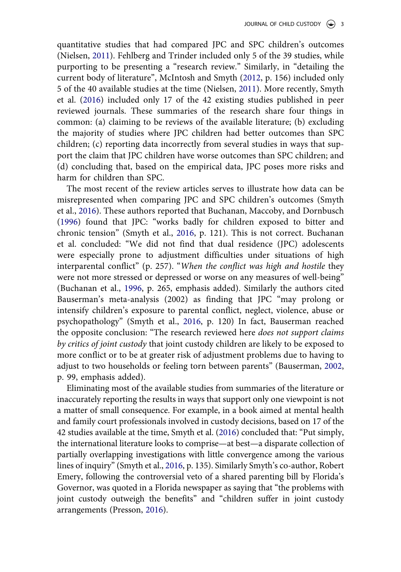quantitative studies that had compared JPC and SPC children's outcomes (Nielsen, [2011](#page-19-0)). Fehlberg and Trinder included only 5 of the 39 studies, while purporting to be presenting a "research review." Similarly, in "detailing the current body of literature", McIntosh and Smyth ([2012,](#page-18-0) p. 156) included only 5 of the 40 available studies at the time (Nielsen, [2011](#page-18-0)). More recently, Smyth et al. [\(2016](#page-19-0)) included only 17 of the 42 existing studies published in peer reviewed journals. These summaries of the research share four things in common: (a) claiming to be reviews of the available literature; (b) excluding the majority of studies where JPC children had better outcomes than SPC children; (c) reporting data incorrectly from several studies in ways that support the claim that JPC children have worse outcomes than SPC children; and (d) concluding that, based on the empirical data, JPC poses more risks and harm for children than SPC.

The most recent of the review articles serves to illustrate how data can be misrepresented when comparing JPC and SPC children's outcomes (Smyth et al., [2016\)](#page-19-0). These authors reported that Buchanan, Maccoby, and Dornbusch ([1996\)](#page-17-0) found that JPC: "works badly for children exposed to bitter and chronic tension" (Smyth et al., [2016,](#page-19-0) p. 121). This is not correct. Buchanan et al. concluded: "We did not find that dual residence (JPC) adolescents were especially prone to adjustment difficulties under situations of high interparental conflict" (p. 257). "*When the conflict was high and hostile* they were not more stressed or depressed or worse on any measures of well-being" (Buchanan et al., [1996](#page-17-0), p. 265, emphasis added). Similarly the authors cited Bauserman's meta-analysis (2002) as finding that JPC "may prolong or intensify children's exposure to parental conflict, neglect, violence, abuse or psychopathology" (Smyth et al., [2016](#page-19-0), p. 120) In fact, Bauserman reached the opposite conclusion: "The research reviewed here *does not support claims by critics of joint custody* that joint custody children are likely to be exposed to more conflict or to be at greater risk of adjustment problems due to having to adjust to two households or feeling torn between parents" (Bauserman, [2002,](#page-17-0) p. 99, emphasis added).

Eliminating most of the available studies from summaries of the literature or inaccurately reporting the results in ways that support only one viewpoint is not a matter of small consequence. For example, in a book aimed at mental health and family court professionals involved in custody decisions, based on 17 of the 42 studies available at the time, Smyth et al. [\(2016\)](#page-19-0) concluded that: "Put simply, the international literature looks to comprise—at best—a disparate collection of partially overlapping investigations with little convergence among the various lines of inquiry" (Smyth et al., [2016,](#page-19-0) p. 135). Similarly Smyth's co-author, Robert Emery, following the controversial veto of a shared parenting bill by Florida's Governor, was quoted in a Florida newspaper as saying that "the problems with joint custody outweigh the benefits" and "children suffer in joint custody arrangements (Presson, [2016\)](#page-19-0).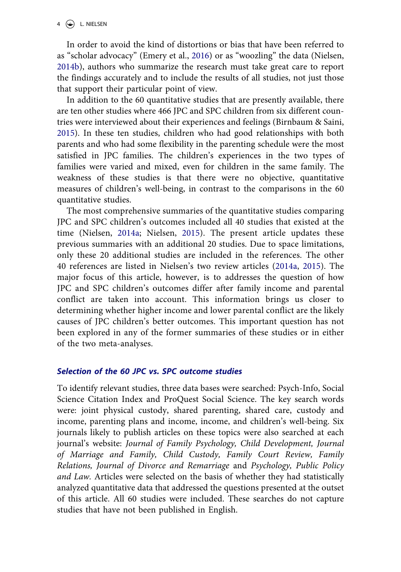#### $4 \quad \circledast$  L. NIELSEN

In order to avoid the kind of distortions or bias that have been referred to as "scholar advocacy" (Emery et al., [2016\)](#page-17-0) or as "woozling" the data (Nielsen, [2014b\)](#page-19-0), authors who summarize the research must take great care to report the findings accurately and to include the results of all studies, not just those that support their particular point of view.

In addition to the 60 quantitative studies that are presently available, there are ten other studies where 466 JPC and SPC children from six different countries were interviewed about their experiences and feelings (Birnbaum & Saini, [2015\)](#page-17-0). In these ten studies, children who had good relationships with both parents and who had some flexibility in the parenting schedule were the most satisfied in JPC families. The children's experiences in the two types of families were varied and mixed, even for children in the same family. The weakness of these studies is that there were no objective, quantitative measures of children's well-being, in contrast to the comparisons in the 60 quantitative studies.

The most comprehensive summaries of the quantitative studies comparing JPC and SPC children's outcomes included all 40 studies that existed at the time (Nielsen, [2014a](#page-19-0); Nielsen, [2015](#page-19-0)). The present article updates these previous summaries with an additional 20 studies. Due to space limitations, only these 20 additional studies are included in the references. The other 40 references are listed in Nielsen's two review articles [\(2014a,](#page-19-0) [2015\)](#page-19-0). The major focus of this article, however, is to addresses the question of how JPC and SPC children's outcomes differ after family income and parental conflict are taken into account. This information brings us closer to determining whether higher income and lower parental conflict are the likely causes of JPC children's better outcomes. This important question has not been explored in any of the former summaries of these studies or in either of the two meta-analyses.

#### *Selection of the 60 JPC vs. SPC outcome studies*

To identify relevant studies, three data bases were searched: Psych-Info, Social Science Citation Index and ProQuest Social Science. The key search words were: joint physical custody, shared parenting, shared care, custody and income, parenting plans and income, income, and children's well-being. Six journals likely to publish articles on these topics were also searched at each journal's website: *Journal of Family Psychology, Child Development, Journal of Marriage and Family, Child Custody, Family Court Review, Family Relations, Journal of Divorce and Remarriage* and *Psychology, Public Policy and Law.* Articles were selected on the basis of whether they had statistically analyzed quantitative data that addressed the questions presented at the outset of this article. All 60 studies were included. These searches do not capture studies that have not been published in English.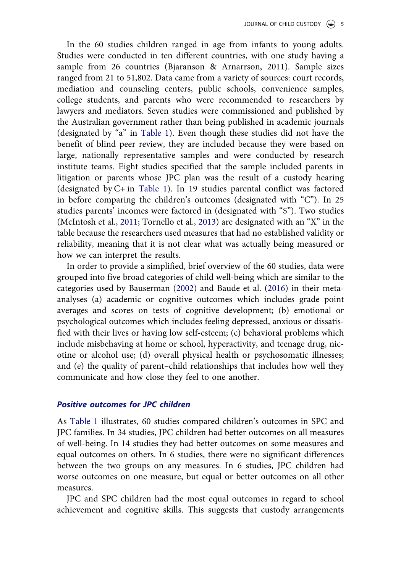In the 60 studies children ranged in age from infants to young adults. Studies were conducted in ten different countries, with one study having a sample from 26 countries (Bjaranson & Arnarrson, 2011). Sample sizes ranged from 21 to 51,802. Data came from a variety of sources: court records, mediation and counseling centers, public schools, convenience samples, college students, and parents who were recommended to researchers by lawyers and mediators. Seven studies were commissioned and published by the Australian government rather than being published in academic journals (designated by "a" in [Table 1\)](#page-6-0). Even though these studies did not have the benefit of blind peer review, they are included because they were based on large, nationally representative samples and were conducted by research institute teams. Eight studies specified that the sample included parents in litigation or parents whose JPC plan was the result of a custody hearing (designated by C+ in [Table 1](#page-6-0)). In 19 studies parental conflict was factored in before comparing the children's outcomes (designated with "C"). In 25 studies parents' incomes were factored in (designated with "\$"). Two studies (McIntosh et al., [2011](#page-18-0); Tornello et al., [2013](#page-19-0)) are designated with an "X" in the table because the researchers used measures that had no established validity or reliability, meaning that it is not clear what was actually being measured or how we can interpret the results.

In order to provide a simplified, brief overview of the 60 studies, data were grouped into five broad categories of child well-being which are similar to the categories used by Bauserman ([2002\)](#page-17-0) and Baude et al. [\(2016](#page-17-0)) in their metaanalyses (a) academic or cognitive outcomes which includes grade point averages and scores on tests of cognitive development; (b) emotional or psychological outcomes which includes feeling depressed, anxious or dissatisfied with their lives or having low self-esteem; (c) behavioral problems which include misbehaving at home or school, hyperactivity, and teenage drug, nicotine or alcohol use; (d) overall physical health or psychosomatic illnesses; and (e) the quality of parent–child relationships that includes how well they communicate and how close they feel to one another.

#### *Positive outcomes for JPC children*

As [Table 1](#page-6-0) illustrates, 60 studies compared children's outcomes in SPC and JPC families. In 34 studies, JPC children had better outcomes on all measures of well-being. In 14 studies they had better outcomes on some measures and equal outcomes on others. In 6 studies, there were no significant differences between the two groups on any measures. In 6 studies, JPC children had worse outcomes on one measure, but equal or better outcomes on all other measures.

JPC and SPC children had the most equal outcomes in regard to school achievement and cognitive skills. This suggests that custody arrangements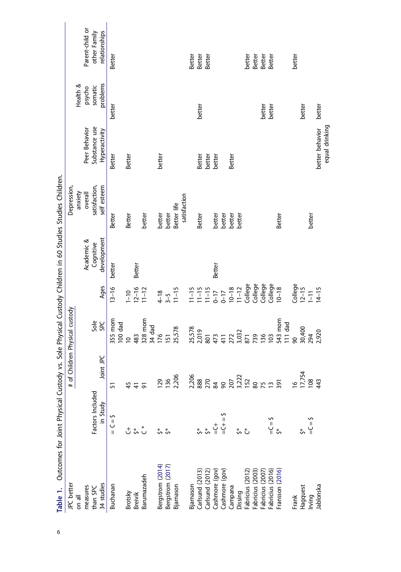<span id="page-6-0"></span>

| Table 1. Outcomes for Joint Physical Custody vs. Sole Physical Custody Children in 60 Studies Studies Children. |                  |                |                           |                                                                                               |             |               |                 |          |                 |
|-----------------------------------------------------------------------------------------------------------------|------------------|----------------|---------------------------|-----------------------------------------------------------------------------------------------|-------------|---------------|-----------------|----------|-----------------|
| JPC better                                                                                                      |                  | $\frac{4}{10}$ | Children Physical custody |                                                                                               |             | Depression,   |                 |          |                 |
| on all                                                                                                          |                  |                |                           |                                                                                               |             | anxiety       |                 | Health & |                 |
| measures                                                                                                        |                  |                |                           |                                                                                               | Academic &  | overall       | Peer Behavior   | psycho   | Parent-child or |
| than SPC                                                                                                        | Factors Included |                | Sole                      |                                                                                               | Cognitive   | satisfaction, | Substance use   | somatic  | other Family    |
| 34 studies                                                                                                      | in Study         | Joint JPC      | <b>SPC</b>                | Ages                                                                                          | development | self esteem   | Hyperactivity   | problems | relationships   |
| Buchanan                                                                                                        | $\xi = 2 =$      | 57             | 355 mom                   | $13 - 16$                                                                                     | better      | Better        | Better          | better   | Better          |
| Brotsky                                                                                                         | t                |                | 100 dad<br>$\subseteq$    | $1 - 10$                                                                                      |             | Better        | Better          |          |                 |
| <b>Breivik</b>                                                                                                  | $\zeta^*$        |                | 483                       | $12 - 16$                                                                                     | Better      |               |                 |          |                 |
| Barumazadeh                                                                                                     | *                |                | 328 mom                   | $11 - 12$                                                                                     |             | better        |                 |          |                 |
|                                                                                                                 |                  |                | 34 dad                    |                                                                                               |             |               |                 |          |                 |
| Bergstrom (2014)                                                                                                | ₹ν               | <b>PZI</b>     | 176                       | $4 - 18$<br>$3 - 5$<br>$11 - 15$                                                              |             | better        | better          |          |                 |
| Bergstrom (2017)                                                                                                |                  | 136            | 51                        |                                                                                               |             | better        |                 |          |                 |
| Bjarnason                                                                                                       |                  | 2,206          | 25,578                    |                                                                                               |             | Better life   |                 |          |                 |
|                                                                                                                 |                  |                |                           |                                                                                               |             | satisfaction  |                 |          |                 |
| Bjarnason                                                                                                       |                  | 2,206          | 25,578                    | $11 - 15$                                                                                     |             |               |                 |          | Better          |
| Carlsund (2013)                                                                                                 |                  |                | 2,019                     |                                                                                               |             | Better        | Better          | better   | Better          |
| Carlsund (2012)                                                                                                 |                  | 888<br>270     | 801                       |                                                                                               |             |               | better          |          | Better          |
| Cashmore (gov)                                                                                                  | ڂ<br>ا           | $\frac{8}{3}$  | 473                       | $\begin{array}{c} 11 - 15 \\ 11 - 15 \\ 0 - 17 \\ 0 - 17 \\ 0 - 18 \\ 10 - 18 \\ \end{array}$ | Better      | better        | better          |          |                 |
| Cashmore (gov)                                                                                                  | $5 = +2=$        |                | 411                       |                                                                                               |             | better        |                 |          |                 |
| Campana                                                                                                         |                  | 207            | 272                       |                                                                                               |             | better        | Better          |          |                 |
| Dissing                                                                                                         | ڻ مُ             | 3,222          | 3,032                     | $11 - 12$                                                                                     |             | better        |                 |          |                 |
| Fabricius (2012                                                                                                 |                  |                | 871                       |                                                                                               |             |               |                 |          | better          |
| Fabricius (2003)                                                                                                |                  | 80             | 739                       |                                                                                               |             |               |                 |          | Better          |
| Fabricius (2007)                                                                                                |                  | 75             | 136                       | Gelege<br>Gelege<br>Gelege<br>Gelege                                                          |             |               |                 | better   | Better          |
| Fabricius (2016)                                                                                                |                  | $\tilde{c}$    | $\tilde{a}$               |                                                                                               |             |               |                 | better   | Better          |
| Fransson (2016)                                                                                                 | $z = 2$          | 391            | 543 mom                   | $10 - 18$                                                                                     |             | Better        |                 |          |                 |
|                                                                                                                 |                  |                | 111 dad                   |                                                                                               |             |               |                 |          |                 |
| Frank                                                                                                           |                  | $\overline{6}$ | $\overline{8}$            | College                                                                                       |             |               |                 |          | better          |
| Hagquest                                                                                                        |                  | 17,754         | 30,400                    | $12 - 15$                                                                                     |             |               |                 | better   |                 |
| Irving                                                                                                          | $\zeta = 2$      | 108            | 294                       | $\overline{1}$                                                                                |             | better        |                 |          |                 |
| Jablonska                                                                                                       |                  | 443            | 2,920                     | $4 - 15$                                                                                      |             |               | better behavior | better   |                 |
|                                                                                                                 |                  |                |                           |                                                                                               |             |               | equal drinking  |          |                 |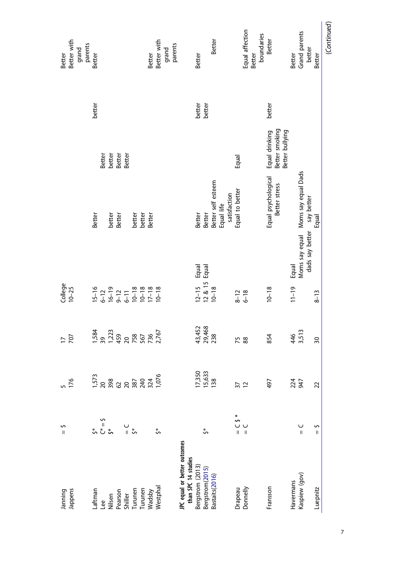| Better with<br>grand<br>parents<br>Better | Better                                                                             |                                       |                  |                    |         |         | Better | Better with | grand<br>parents |                              |                     | Better                                                      |                 | Better             |            |              |                  | Equal affection | Better | boundaries | Better                                              | Better    | Grand parents                      | better          | Better             | (Continued) |
|-------------------------------------------|------------------------------------------------------------------------------------|---------------------------------------|------------------|--------------------|---------|---------|--------|-------------|------------------|------------------------------|---------------------|-------------------------------------------------------------|-----------------|--------------------|------------|--------------|------------------|-----------------|--------|------------|-----------------------------------------------------|-----------|------------------------------------|-----------------|--------------------|-------------|
|                                           | better                                                                             |                                       |                  |                    |         |         |        |             |                  |                              |                     | better                                                      | better          |                    |            |              |                  |                 |        |            | better                                              |           |                                    |                 |                    |             |
|                                           | Better                                                                             |                                       | better<br>Better | Better             |         |         |        |             |                  |                              |                     |                                                             |                 |                    |            |              | Equal            |                 |        |            | Equal drinking<br>Better smoking<br>Better bullying |           |                                    |                 |                    |             |
|                                           | Better                                                                             | better                                | Better           |                    | better  | better  | Better |             |                  |                              |                     | Better                                                      | Better          | Better self esteem | Equal life | satisfaction | Equal to better  |                 |        |            | Equal psychological<br>Better stress                |           | Moms say equal Moms say equal Dads | say better      | Equal              |             |
|                                           |                                                                                    |                                       |                  |                    |         |         |        |             |                  |                              |                     | Equal<br>Equal                                              |                 |                    |            |              |                  |                 |        |            |                                                     | Equal     |                                    | dads say better |                    |             |
| $College$<br>$10-25$                      | $15-16$<br>$6-12$<br>$16-19$<br>$9-12$<br>$10-18$<br>$10-18$<br>$10-18$<br>$10-18$ |                                       |                  |                    |         |         |        |             |                  |                              |                     | $\begin{array}{c} 12 - 15 \\ 12 & 8 \\ 10 - 18 \end{array}$ |                 |                    |            |              | $8 - 12$<br>6-18 |                 |        |            | $10 - 18$                                           | $11 - 19$ |                                    |                 | $8 - 13$           |             |
| 707<br>$\overline{a}$                     | 1,584<br>0,723<br>1,723<br>1,767<br>2,767                                          |                                       |                  |                    |         |         |        |             |                  |                              |                     | 43,452<br>29,468<br>238                                     |                 |                    |            |              | 75               | 88              |        |            | 854                                                 | 46        | 3,513                              |                 | 50                 |             |
| 176                                       | 1,573                                                                              | <u>ក្ខុន្ត ។</u><br>ក្នុង ក្នុង ក្នុង |                  |                    |         |         |        | 1,076       |                  |                              |                     | 17,350<br>15,633                                            |                 | 138                |            |              | 37               | $\overline{1}$  |        |            | 497                                                 | 224       | 947                                |                 | 22                 |             |
| S<br>$\mathbf{I}$                         | \$*<br>گ* گ**<br>\$*                                                               |                                       |                  | $\frac{1}{3}$      |         |         |        | \$          |                  |                              |                     |                                                             | ₹,              |                    |            |              | $*$ 5 $-$        | $\frac{1}{\pi}$ |        |            |                                                     |           | $\overline{\mathbf{I}}$            |                 | s<br>$\mathbf{II}$ |             |
| Jappens<br>Janning                        | Laftman<br>Lee                                                                     | Nilsen                                |                  | Pearson<br>Shiller | Turunen | Turunen | Wadsby | Westphal    |                  | JPC equal or better outcomes | than SPC 14 studies | Bergstrom (2013)                                            | Bergstrom(2015) | Bastaits(2016)     |            |              | Drapeau          | Donnelly        |        |            | Fransson                                            | Havermans | Kaspiew (gov)                      |                 | Luepnitz           |             |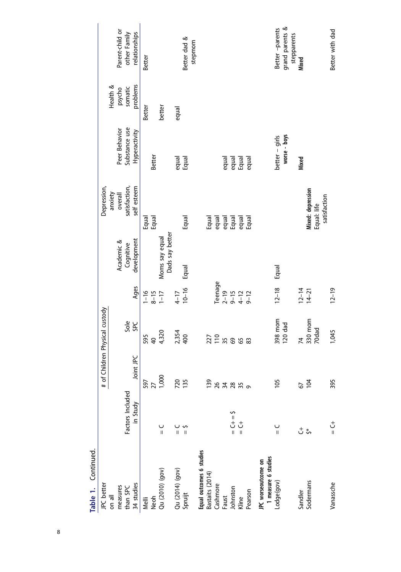| JPC better                                 |                        |                 | # of Children Physical custody |                                              |                 | Depression,                               |                |          |                                |
|--------------------------------------------|------------------------|-----------------|--------------------------------|----------------------------------------------|-----------------|-------------------------------------------|----------------|----------|--------------------------------|
| on all                                     |                        |                 |                                |                                              |                 | anxiety                                   |                | Health & |                                |
| measures                                   |                        |                 |                                |                                              | Academic &      | overall                                   | Peer Behavior  | psycho   | Parent-child or                |
| than SPC                                   | Factors Included       |                 | Sole                           |                                              | Cognitive       | satisfaction,                             | Substance use  | somatic  | other Family                   |
| 34 studies                                 | in Study               | Joint JPC       | <b>SPC</b>                     | Ages                                         | development     | self esteem                               | Hyperactivity  | problems | relationships                  |
| Melli                                      |                        | 597             | 595                            | $-16$                                        |                 |                                           |                | Better   | Better                         |
| Neoh                                       |                        | $\overline{27}$ | $\overline{a}$                 | $8 - 15$<br>1-17                             |                 | Equal<br>Equal                            | Better         |          |                                |
| Qu (2010) (gov)                            | $\mathbf{I}$           | 1,000           | 4,320                          |                                              | Moms say equal  |                                           |                | better   |                                |
|                                            |                        |                 |                                |                                              | Dads say better |                                           |                |          |                                |
| Qu (2014) (gov)                            | $\mathbf{I}$           | 720             | 2,354                          | $4 - 17$                                     |                 |                                           |                | equal    |                                |
| Spruijt                                    |                        | 135             | 400                            | $10 - 16$                                    | Equal           | Equal                                     | equal<br>Equal |          | Better dad &                   |
|                                            |                        |                 |                                |                                              |                 |                                           |                |          | stepmom                        |
| Equal outcomes 6 studies                   |                        |                 |                                |                                              |                 |                                           |                |          |                                |
| Bastaits (2014)                            |                        | 139             | 227                            |                                              |                 |                                           |                |          |                                |
| Cashmore                                   |                        |                 | $\frac{10}{35}$                | Teenage                                      |                 |                                           |                |          |                                |
| Faust                                      |                        |                 |                                |                                              |                 |                                           | equal          |          |                                |
| Johnston                                   | $\xi = +7$             |                 |                                |                                              |                 |                                           |                |          |                                |
| Kline                                      | $\frac{+}{\mathsf{L}}$ |                 | 89                             |                                              |                 |                                           | equal<br>Equal |          |                                |
| Pearson                                    |                        | 87880           | 83                             | $2 - 19$<br>$2 - 12$<br>$4 - 12$<br>$5 - 12$ |                 | Equal<br>equal<br>equal<br>Equal<br>Equal | equal          |          |                                |
| 1 measure 6 studies<br>JPC worseoutcome on |                        |                 |                                |                                              |                 |                                           |                |          |                                |
| Lodge(gov)                                 | ں<br>اا                | 105             | 398 mom                        | $12 - 18$                                    | Equal           |                                           | better - girls |          | Better -parents                |
|                                            |                        |                 | 120 dad                        |                                              |                 |                                           | worse - boys   |          | grand parents &<br>stepparents |
| Sandler                                    |                        | 67              | 74                             | $12 - 14$                                    |                 |                                           | Mixed          |          | Mixed                          |
| Sodermans                                  | $\stackrel{+}{\circ}$  | 104             | 330 mom                        | $14 - 21$                                    |                 | Mixed: depression                         |                |          |                                |
|                                            |                        |                 | 70dad                          |                                              |                 | satisfaction<br>Equal: life               |                |          |                                |
| Vanassche                                  | さ=                     | 395             | 1,045                          | $12 - 19$                                    |                 |                                           |                |          | Better with dad                |

Table 1. Continued. **Table 1.** Continued.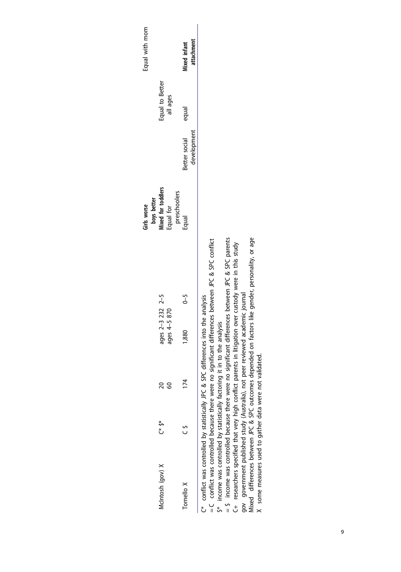|                                                      |         |                                                         |                                                                                     |                                                                                                        | boys better<br>Girls worse |               |                 | Equal with mom |
|------------------------------------------------------|---------|---------------------------------------------------------|-------------------------------------------------------------------------------------|--------------------------------------------------------------------------------------------------------|----------------------------|---------------|-----------------|----------------|
| McIntosh (gov) X                                     | *ہ<br>ٹ | $\overline{20}$                                         | ages 2-3 232 2-5                                                                    |                                                                                                        | Mixed for toddlers         |               | Equal to Better |                |
|                                                      |         | 60                                                      | ages 4-5 870                                                                        |                                                                                                        | Equal for                  |               | all ages        |                |
|                                                      |         |                                                         |                                                                                     |                                                                                                        | preschoolers               |               |                 |                |
| Tomello X                                            | د<br>ں  | $\overline{1}$                                          | 1,880                                                                               | $\zeta$ -5                                                                                             | Equal                      | Better social | equal           | Mixed infant   |
|                                                      |         |                                                         |                                                                                     |                                                                                                        |                            | development   |                 | attachment     |
| = C conflict was controlled because there were no    |         |                                                         | C* conflict was controlled by statistically JPC & SPC differences into the analysis | significant differences between JPC & SPC conflict                                                     |                            |               |                 |                |
| \$* income was controlled by statistically factoring |         |                                                         | it in to the analysis                                                               |                                                                                                        |                            |               |                 |                |
|                                                      |         |                                                         |                                                                                     | = \$ income was controlled because there were no significant differences between JPC & SPC parents     |                            |               |                 |                |
|                                                      |         |                                                         |                                                                                     | C+ researchers specified that very high conflict parents in litigation over custody were in this study |                            |               |                 |                |
|                                                      |         |                                                         | gov government published study (Australia), not peer reviewed academic journal      |                                                                                                        |                            |               |                 |                |
|                                                      |         |                                                         |                                                                                     | Mixed differences between JPC & SPC outcomes depended on factors like gender, personality, or age      |                            |               |                 |                |
|                                                      |         | X some measures used to gather data were not validated. |                                                                                     |                                                                                                        |                            |               |                 |                |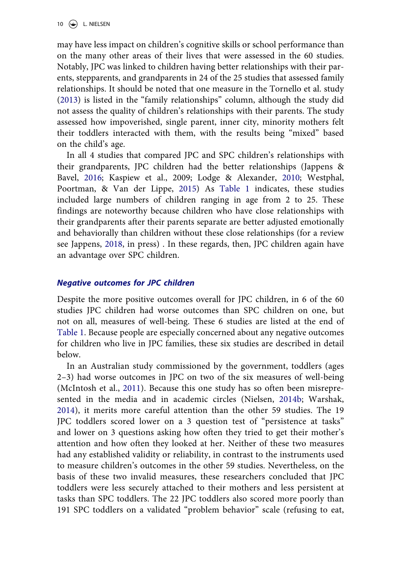10  $\left(\frac{1}{2}\right)$  L. NIELSEN

may have less impact on children's cognitive skills or school performance than on the many other areas of their lives that were assessed in the 60 studies. Notably, JPC was linked to children having better relationships with their parents, stepparents, and grandparents in 24 of the 25 studies that assessed family relationships. It should be noted that one measure in the Tornello et al. study ([2013\)](#page-19-0) is listed in the "family relationships" column, although the study did not assess the quality of children's relationships with their parents. The study assessed how impoverished, single parent, inner city, minority mothers felt their toddlers interacted with them, with the results being "mixed" based on the child's age.

In all 4 studies that compared JPC and SPC children's relationships with their grandparents, JPC children had the better relationships (Jappens & Bavel, [2016;](#page-18-0) Kaspiew et al., 2009; Lodge & Alexander, [2010;](#page-18-0) Westphal, Poortman, & Van der Lippe, [2015\)](#page-20-0) As [Table 1](#page-6-0) indicates, these studies included large numbers of children ranging in age from 2 to 25. These findings are noteworthy because children who have close relationships with their grandparents after their parents separate are better adjusted emotionally and behaviorally than children without these close relationships (for a review see Jappens, [2018,](#page-18-0) in press) . In these regards, then, JPC children again have an advantage over SPC children.

#### *Negative outcomes for JPC children*

Despite the more positive outcomes overall for JPC children, in 6 of the 60 studies JPC children had worse outcomes than SPC children on one, but not on all, measures of well-being. These 6 studies are listed at the end of [Table 1.](#page-6-0) Because people are especially concerned about any negative outcomes for children who live in JPC families, these six studies are described in detail below.

In an Australian study commissioned by the government, toddlers (ages 2–3) had worse outcomes in JPC on two of the six measures of well-being (McIntosh et al., [2011\)](#page-18-0). Because this one study has so often been misrepresented in the media and in academic circles (Nielsen, [2014b](#page-19-0); Warshak, [2014\)](#page-20-0), it merits more careful attention than the other 59 studies. The 19 JPC toddlers scored lower on a 3 question test of "persistence at tasks" and lower on 3 questions asking how often they tried to get their mother's attention and how often they looked at her. Neither of these two measures had any established validity or reliability, in contrast to the instruments used to measure children's outcomes in the other 59 studies. Nevertheless, on the basis of these two invalid measures, these researchers concluded that JPC toddlers were less securely attached to their mothers and less persistent at tasks than SPC toddlers. The 22 JPC toddlers also scored more poorly than 191 SPC toddlers on a validated "problem behavior" scale (refusing to eat,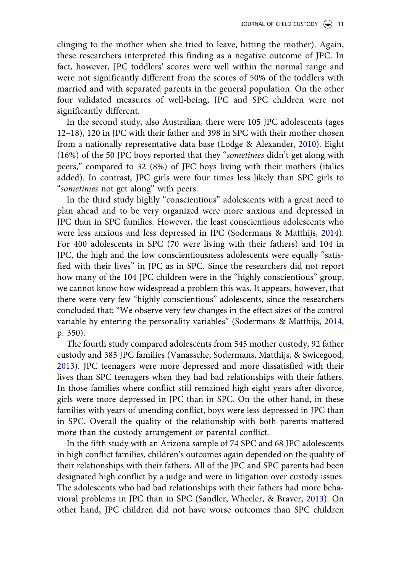clinging to the mother when she tried to leave, hitting the mother). Again, these researchers interpreted this finding as a negative outcome of JPC. In fact, however, JPC toddlers' scores were well within the normal range and were not significantly different from the scores of 50% of the toddlers with married and with separated parents in the general population. On the other four validated measures of well-being, JPC and SPC children were not significantly different.

In the second study, also Australian, there were 105 JPC adolescents (ages 12–18), 120 in JPC with their father and 398 in SPC with their mother chosen from a nationally representative data base (Lodge & Alexander, [2010](#page-18-0)). Eight (16%) of the 50 JPC boys reported that they "*sometimes* didn't get along with peers," compared to 32 (8%) of JPC boys living with their mothers (italics added). In contrast, JPC girls were four times less likely than SPC girls to "*sometimes* not get along" with peers.

In the third study highly "conscientious" adolescents with a great need to plan ahead and to be very organized were more anxious and depressed in JPC than in SPC families. However, the least conscientious adolescents who were less anxious and less depressed in JPC (Sodermans & Matthijs, [2014\)](#page-19-0). For 400 adolescents in SPC (70 were living with their fathers) and 104 in JPC, the high and the low conscientiousness adolescents were equally "satisfied with their lives" in JPC as in SPC. Since the researchers did not report how many of the 104 JPC children were in the "highly conscientious" group, we cannot know how widespread a problem this was. It appears, however, that there were very few "highly conscientious" adolescents, since the researchers concluded that: "We observe very few changes in the effect sizes of the control variable by entering the personality variables" (Sodermans & Matthijs, [2014,](#page-19-0) p. 350).

The fourth study compared adolescents from 545 mother custody, 92 father custody and 385 JPC families (Vanassche, Sodermans, Matthijs, & Swicegood, [2013\)](#page-19-0). JPC teenagers were more depressed and more dissatisfied with their lives than SPC teenagers when they had bad relationships with their fathers. In those families where conflict still remained high eight years after divorce, girls were more depressed in JPC than in SPC. On the other hand, in these families with years of unending conflict, boys were less depressed in JPC than in SPC. Overall the quality of the relationship with both parents mattered more than the custody arrangement or parental conflict.

In the fifth study with an Arizona sample of 74 SPC and 68 JPC adolescents in high conflict families, children's outcomes again depended on the quality of their relationships with their fathers. All of the JPC and SPC parents had been designated high conflict by a judge and were in litigation over custody issues. The adolescents who had bad relationships with their fathers had more behavioral problems in JPC than in SPC (Sandler, Wheeler, & Braver, [2013\)](#page-19-0). On other hand, JPC children did not have worse outcomes than SPC children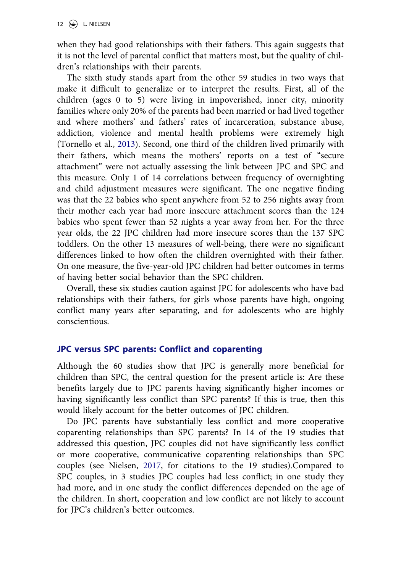when they had good relationships with their fathers. This again suggests that it is not the level of parental conflict that matters most, but the quality of children's relationships with their parents.

The sixth study stands apart from the other 59 studies in two ways that make it difficult to generalize or to interpret the results. First, all of the children (ages 0 to 5) were living in impoverished, inner city, minority families where only 20% of the parents had been married or had lived together and where mothers' and fathers' rates of incarceration, substance abuse, addiction, violence and mental health problems were extremely high (Tornello et al., [2013\)](#page-19-0). Second, one third of the children lived primarily with their fathers, which means the mothers' reports on a test of "secure attachment" were not actually assessing the link between JPC and SPC and this measure. Only 1 of 14 correlations between frequency of overnighting and child adjustment measures were significant. The one negative finding was that the 22 babies who spent anywhere from 52 to 256 nights away from their mother each year had more insecure attachment scores than the 124 babies who spent fewer than 52 nights a year away from her. For the three year olds, the 22 JPC children had more insecure scores than the 137 SPC toddlers. On the other 13 measures of well-being, there were no significant differences linked to how often the children overnighted with their father. On one measure, the five-year-old JPC children had better outcomes in terms of having better social behavior than the SPC children.

Overall, these six studies caution against JPC for adolescents who have bad relationships with their fathers, for girls whose parents have high, ongoing conflict many years after separating, and for adolescents who are highly conscientious.

#### **JPC versus SPC parents: Conflict and coparenting**

Although the 60 studies show that JPC is generally more beneficial for children than SPC, the central question for the present article is: Are these benefits largely due to JPC parents having significantly higher incomes or having significantly less conflict than SPC parents? If this is true, then this would likely account for the better outcomes of JPC children.

Do JPC parents have substantially less conflict and more cooperative coparenting relationships than SPC parents? In 14 of the 19 studies that addressed this question, JPC couples did not have significantly less conflict or more cooperative, communicative coparenting relationships than SPC couples (see Nielsen, [2017](#page-19-0), for citations to the 19 studies).Compared to SPC couples, in 3 studies JPC couples had less conflict; in one study they had more, and in one study the conflict differences depended on the age of the children. In short, cooperation and low conflict are not likely to account for JPC's children's better outcomes.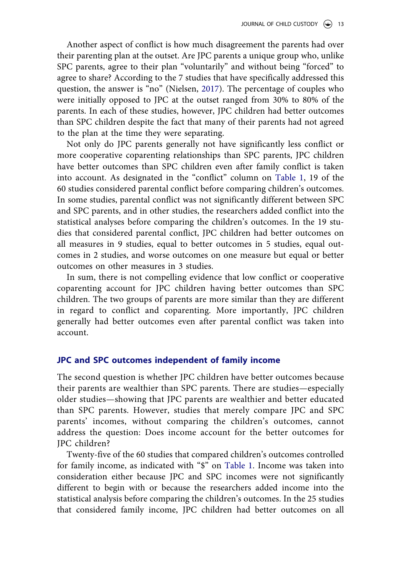Another aspect of conflict is how much disagreement the parents had over their parenting plan at the outset. Are JPC parents a unique group who, unlike SPC parents, agree to their plan "voluntarily" and without being "forced" to agree to share? According to the 7 studies that have specifically addressed this question, the answer is "no" (Nielsen, [2017](#page-19-0)). The percentage of couples who were initially opposed to JPC at the outset ranged from 30% to 80% of the parents. In each of these studies, however, JPC children had better outcomes than SPC children despite the fact that many of their parents had not agreed to the plan at the time they were separating.

Not only do JPC parents generally not have significantly less conflict or more cooperative coparenting relationships than SPC parents, JPC children have better outcomes than SPC children even after family conflict is taken into account. As designated in the "conflict" column on [Table 1,](#page-6-0) 19 of the 60 studies considered parental conflict before comparing children's outcomes. In some studies, parental conflict was not significantly different between SPC and SPC parents, and in other studies, the researchers added conflict into the statistical analyses before comparing the children's outcomes. In the 19 studies that considered parental conflict, JPC children had better outcomes on all measures in 9 studies, equal to better outcomes in 5 studies, equal outcomes in 2 studies, and worse outcomes on one measure but equal or better outcomes on other measures in 3 studies.

In sum, there is not compelling evidence that low conflict or cooperative coparenting account for JPC children having better outcomes than SPC children. The two groups of parents are more similar than they are different in regard to conflict and coparenting. More importantly, JPC children generally had better outcomes even after parental conflict was taken into account.

#### **JPC and SPC outcomes independent of family income**

The second question is whether JPC children have better outcomes because their parents are wealthier than SPC parents. There are studies—especially older studies—showing that JPC parents are wealthier and better educated than SPC parents. However, studies that merely compare JPC and SPC parents' incomes, without comparing the children's outcomes, cannot address the question: Does income account for the better outcomes for JPC children?

Twenty-five of the 60 studies that compared children's outcomes controlled for family income, as indicated with "\$" on [Table 1](#page-6-0). Income was taken into consideration either because JPC and SPC incomes were not significantly different to begin with or because the researchers added income into the statistical analysis before comparing the children's outcomes. In the 25 studies that considered family income, JPC children had better outcomes on all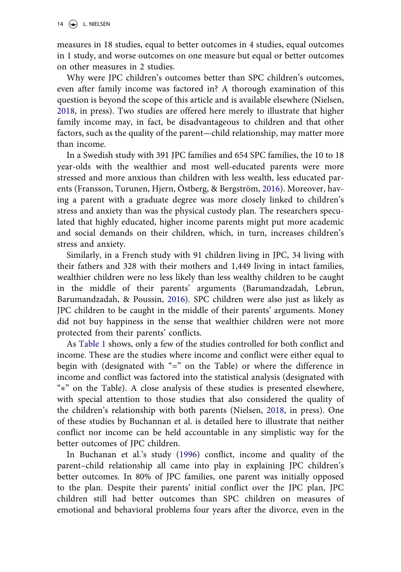measures in 18 studies, equal to better outcomes in 4 studies, equal outcomes in 1 study, and worse outcomes on one measure but equal or better outcomes on other measures in 2 studies.

Why were JPC children's outcomes better than SPC children's outcomes, even after family income was factored in? A thorough examination of this question is beyond the scope of this article and is available elsewhere (Nielsen, [2018,](#page-19-0) in press). Two studies are offered here merely to illustrate that higher family income may, in fact, be disadvantageous to children and that other factors, such as the quality of the parent—child relationship, may matter more than income.

In a Swedish study with 391 JPC families and 654 SPC families, the 10 to 18 year-olds with the wealthier and most well-educated parents were more stressed and more anxious than children with less wealth, less educated parents (Fransson, Turunen, Hjern, Östberg, & Bergström, [2016\)](#page-18-0). Moreover, having a parent with a graduate degree was more closely linked to children's stress and anxiety than was the physical custody plan. The researchers speculated that highly educated, higher income parents might put more academic and social demands on their children, which, in turn, increases children's stress and anxiety.

Similarly, in a French study with 91 children living in JPC, 34 living with their fathers and 328 with their mothers and 1,449 living in intact families, wealthier children were no less likely than less wealthy children to be caught in the middle of their parents' arguments (Barumandzadah, Lebrun, Barumandzadah, & Poussin, [2016](#page-17-0)). SPC children were also just as likely as JPC children to be caught in the middle of their parents' arguments. Money did not buy happiness in the sense that wealthier children were not more protected from their parents' conflicts.

As [Table 1](#page-6-0) shows, only a few of the studies controlled for both conflict and income. These are the studies where income and conflict were either equal to begin with (designated with "=" on the Table) or where the difference in income and conflict was factored into the statistical analysis (designated with "∗" on the Table). A close analysis of these studies is presented elsewhere, with special attention to those studies that also considered the quality of the children's relationship with both parents (Nielsen, [2018](#page-19-0), in press). One of these studies by Buchannan et al. is detailed here to illustrate that neither conflict nor income can be held accountable in any simplistic way for the better outcomes of JPC children.

In Buchanan et al.'s study [\(1996](#page-17-0)) conflict, income and quality of the parent–child relationship all came into play in explaining JPC children's better outcomes. In 80% of JPC families, one parent was initially opposed to the plan. Despite their parents' initial conflict over the JPC plan, JPC children still had better outcomes than SPC children on measures of emotional and behavioral problems four years after the divorce, even in the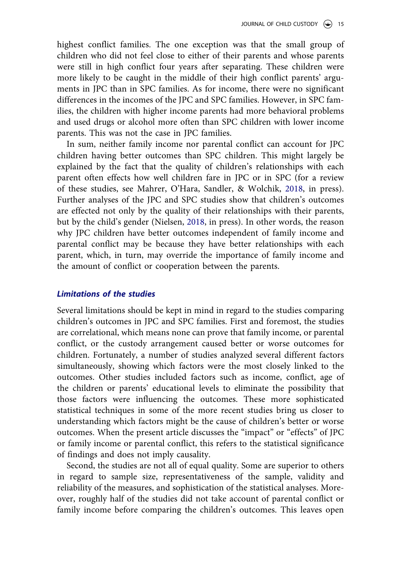highest conflict families. The one exception was that the small group of children who did not feel close to either of their parents and whose parents were still in high conflict four years after separating. These children were more likely to be caught in the middle of their high conflict parents' arguments in JPC than in SPC families. As for income, there were no significant differences in the incomes of the JPC and SPC families. However, in SPC families, the children with higher income parents had more behavioral problems and used drugs or alcohol more often than SPC children with lower income parents. This was not the case in JPC families.

In sum, neither family income nor parental conflict can account for JPC children having better outcomes than SPC children. This might largely be explained by the fact that the quality of children's relationships with each parent often effects how well children fare in JPC or in SPC (for a review of these studies, see Mahrer, O'Hara, Sandler, & Wolchik, [2018,](#page-18-0) in press). Further analyses of the JPC and SPC studies show that children's outcomes are effected not only by the quality of their relationships with their parents, but by the child's gender (Nielsen, [2018,](#page-19-0) in press). In other words, the reason why JPC children have better outcomes independent of family income and parental conflict may be because they have better relationships with each parent, which, in turn, may override the importance of family income and the amount of conflict or cooperation between the parents.

#### *Limitations of the studies*

Several limitations should be kept in mind in regard to the studies comparing children's outcomes in JPC and SPC families. First and foremost, the studies are correlational, which means none can prove that family income, or parental conflict, or the custody arrangement caused better or worse outcomes for children. Fortunately, a number of studies analyzed several different factors simultaneously, showing which factors were the most closely linked to the outcomes. Other studies included factors such as income, conflict, age of the children or parents' educational levels to eliminate the possibility that those factors were influencing the outcomes. These more sophisticated statistical techniques in some of the more recent studies bring us closer to understanding which factors might be the cause of children's better or worse outcomes. When the present article discusses the "impact" or "effects" of JPC or family income or parental conflict, this refers to the statistical significance of findings and does not imply causality.

Second, the studies are not all of equal quality. Some are superior to others in regard to sample size, representativeness of the sample, validity and reliability of the measures, and sophistication of the statistical analyses. Moreover, roughly half of the studies did not take account of parental conflict or family income before comparing the children's outcomes. This leaves open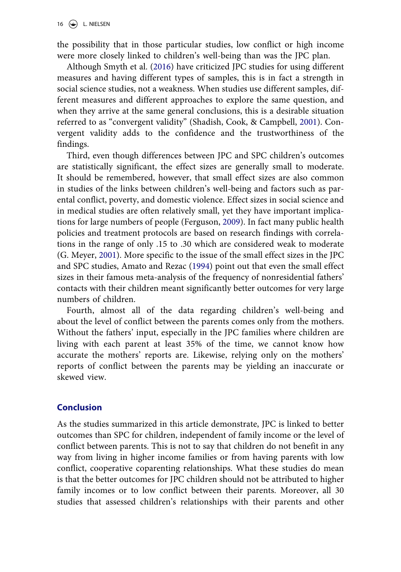the possibility that in those particular studies, low conflict or high income were more closely linked to children's well-being than was the JPC plan.

Although Smyth et al. ([2016\)](#page-19-0) have criticized JPC studies for using different measures and having different types of samples, this is in fact a strength in social science studies, not a weakness. When studies use different samples, different measures and different approaches to explore the same question, and when they arrive at the same general conclusions, this is a desirable situation referred to as "convergent validity" (Shadish, Cook, & Campbell, [2001\)](#page-19-0). Convergent validity adds to the confidence and the trustworthiness of the findings.

Third, even though differences between JPC and SPC children's outcomes are statistically significant, the effect sizes are generally small to moderate. It should be remembered, however, that small effect sizes are also common in studies of the links between children's well-being and factors such as parental conflict, poverty, and domestic violence. Effect sizes in social science and in medical studies are often relatively small, yet they have important implications for large numbers of people (Ferguson, [2009\)](#page-18-0). In fact many public health policies and treatment protocols are based on research findings with correlations in the range of only .15 to .30 which are considered weak to moderate (G. Meyer, [2001](#page-19-0)). More specific to the issue of the small effect sizes in the JPC and SPC studies, Amato and Rezac [\(1994](#page-17-0)) point out that even the small effect sizes in their famous meta-analysis of the frequency of nonresidential fathers' contacts with their children meant significantly better outcomes for very large numbers of children.

Fourth, almost all of the data regarding children's well-being and about the level of conflict between the parents comes only from the mothers. Without the fathers' input, especially in the JPC families where children are living with each parent at least 35% of the time, we cannot know how accurate the mothers' reports are. Likewise, relying only on the mothers' reports of conflict between the parents may be yielding an inaccurate or skewed view.

## **Conclusion**

As the studies summarized in this article demonstrate, JPC is linked to better outcomes than SPC for children, independent of family income or the level of conflict between parents. This is not to say that children do not benefit in any way from living in higher income families or from having parents with low conflict, cooperative coparenting relationships. What these studies do mean is that the better outcomes for JPC children should not be attributed to higher family incomes or to low conflict between their parents. Moreover, all 30 studies that assessed children's relationships with their parents and other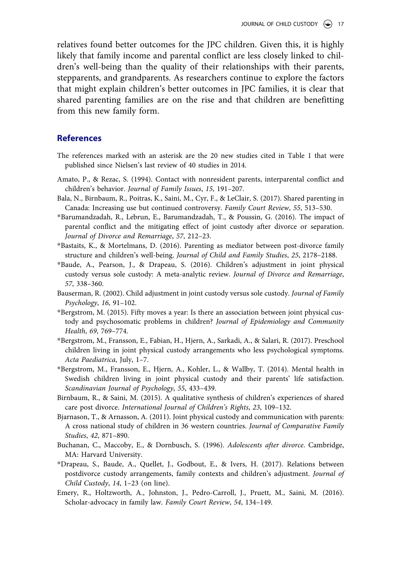<span id="page-17-0"></span>relatives found better outcomes for the JPC children. Given this, it is highly likely that family income and parental conflict are less closely linked to children's well-being than the quality of their relationships with their parents, stepparents, and grandparents. As researchers continue to explore the factors that might explain children's better outcomes in JPC families, it is clear that shared parenting families are on the rise and that children are benefitting from this new family form.

#### **References**

- The references marked with an asterisk are the 20 new studies cited in Table 1 that were published since Nielsen's last review of 40 studies in 2014.
- Amato, P., & Rezac, S. (1994). Contact with nonresident parents, interparental conflict and children's behavior. *Journal of Family Issues*, *15*, 191–207.
- Bala, N., Birnbaum, R., Poitras, K., Saini, M., Cyr, F., & LeClair, S. (2017). Shared parenting in Canada: Increasing use but continued controversy. *Family Court Review*, *55*, 513–530.
- \*Barumandzadah, R., Lebrun, E., Barumandzadah, T., & Poussin, G. (2016). The impact of parental conflict and the mitigating effect of joint custody after divorce or separation. *Journal of Divorce and Remarriage*, *57*, 212–23.
- \*Bastaits, K., & Mortelmans, D. (2016). Parenting as mediator between post-divorce family structure and children's well-being. *Journal of Child and Family Studies*, *25*, 2178–2188.
- \*Baude, A., Pearson, J., & Drapeau, S. (2016). Children's adjustment in joint physical custody versus sole custody: A meta-analytic review. *Journal of Divorce and Remarriage*, *57*, 338–360.
- Bauserman, R. (2002). Child adjustment in joint custody versus sole custody. *Journal of Family Psychology*, *16*, 91–102.
- \*Bergstrom, M. (2015). Fifty moves a year: Is there an association between joint physical custody and psychosomatic problems in children? *Journal of Epidemiology and Community Health*, *69*, 769–774.
- \*Bergstrom, M., Fransson, E., Fabian, H., Hjern, A., Sarkadi, A., & Salari, R. (2017). Preschool children living in joint physical custody arrangements who less psychological symptoms. *Acta Paediatrica*, July, 1–7.
- \*Bergstrom, M., Fransson, E., Hjern, A., Kohler, L., & Wallby, T. (2014). Mental health in Swedish children living in joint physical custody and their parents' life satisfaction. *Scandinavian Journal of Psychology*, *55*, 433–439.
- Birnbaum, R., & Saini, M. (2015). A qualitative synthesis of children's experiences of shared care post divorce. *International Journal of Children's Rights*, *23*, 109–132.
- Bjarnason, T., & Arnasson, A. (2011). Joint physical custody and communication with parents: A cross national study of children in 36 western countries. *Journal of Comparative Family Studies*, *42*, 871–890.
- Buchanan, C., Maccoby, E., & Dornbusch, S. (1996). *Adolescents after divorce*. Cambridge, MA: Harvard University.
- \*Drapeau, S., Baude, A., Quellet, J., Godbout, E., & Ivers, H. (2017). Relations between postdivorce custody arrangements, family contexts and children's adjustment. *Journal of Child Custody*, *14*, 1–23 (on line).
- Emery, R., Holtzworth, A., Johnston, J., Pedro-Carroll, J., Pruett, M., Saini, M. (2016). Scholar-advocacy in family law. *Family Court Review*, *54*, 134–149.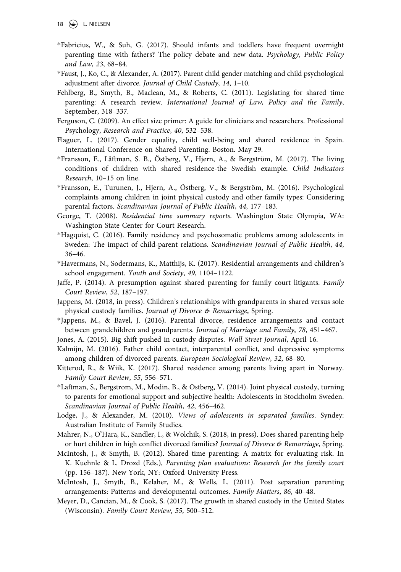- <span id="page-18-0"></span>\*Fabricius, W., & Suh, G. (2017). Should infants and toddlers have frequent overnight parenting time with fathers? The policy debate and new data. *Psychology, Public Policy and Law*, *23*, 68–84.
- \*Faust, J., Ko, C., & Alexander, A. (2017). Parent child gender matching and child psychological adjustment after divorce. *Journal of Child Custody*, *14*, 1–10.
- Fehlberg, B., Smyth, B., Maclean, M., & Roberts, C. (2011). Legislating for shared time parenting: A research review. *International Journal of Law, Policy and the Family*, September, 318–337.
- Ferguson, C. (2009). An effect size primer: A guide for clinicians and researchers. Professional Psychology, *Research and Practice*, *40*, 532–538.
- Flaguer, L. (2017). Gender equality, child well-being and shared residence in Spain. International Conference on Shared Parenting. Boston. May 29.
- \*Fransson, E., Låftman, S. B., Östberg, V., Hjern, A., & Bergström, M. (2017). The living conditions of children with shared residence-the Swedish example. *Child Indicators Research*, 10–15 on line.
- \*Fransson, E., Turunen, J., Hjern, A., Östberg, V., & Bergström, M. (2016). Psychological complaints among children in joint physical custody and other family types: Considering parental factors. *Scandinavian Journal of Public Health*, *44*, 177–183.
- George, T. (2008). *Residential time summary reports*. Washington State Olympia, WA: Washington State Center for Court Research.
- \*Hagquist, C. (2016). Family residency and psychosomatic problems among adolescents in Sweden: The impact of child-parent relations. *Scandinavian Journal of Public Health*, *44*, 36–46.
- \*Havermans, N., Sodermans, K., Matthijs, K. (2017). Residential arrangements and children's school engagement. *Youth and Society*, *49*, 1104–1122.
- Jaffe, P. (2014). A presumption against shared parenting for family court litigants. *Family Court Review*, *52*, 187–197.
- Jappens, M. (2018, in press). Children's relationships with grandparents in shared versus sole physical custody families. *Journal of Divorce & Remarriage*, Spring.
- \*Jappens, M., & Bavel, J. (2016). Parental divorce, residence arrangements and contact between grandchildren and grandparents. *Journal of Marriage and Family*, *78*, 451–467.
- Jones, A. (2015). Big shift pushed in custody disputes. *Wall Street Journal*, April 16.
- Kalmijn, M. (2016). Father child contact, interparental conflict, and depressive symptoms among children of divorced parents. *European Sociological Review*, *32*, 68–80.
- Kitterod, R., & Wiik, K. (2017). Shared residence among parents living apart in Norway. *Family Court Review*, *55*, 556–571.
- \*Laftman, S., Bergstrom, M., Modin, B., & Ostberg, V. (2014). Joint physical custody, turning to parents for emotional support and subjective health: Adolescents in Stockholm Sweden. *Scandinavian Journal of Public Health*, *42*, 456–462.
- Lodge, J., & Alexander, M. (2010). *Views of adolescents in separated families*. Syndey: Australian Institute of Family Studies.
- Mahrer, N., O'Hara, K., Sandler, I., & Wolchik, S. (2018, in press). Does shared parenting help or hurt children in high conflict divorced families? *Journal of Divorce & Remarriage*, Spring.
- McIntosh, J., & Smyth, B. (2012). Shared time parenting: A matrix for evaluating risk. In K. Kuehnle & L. Drozd (Eds.), *Parenting plan evaluations: Research for the family court*  (pp. 156–187). New York, NY: Oxford University Press.
- McIntosh, J., Smyth, B., Kelaher, M., & Wells, L. (2011). Post separation parenting arrangements: Patterns and developmental outcomes. *Family Matters*, *86*, 40–48.
- Meyer, D., Cancian, M., & Cook, S. (2017). The growth in shared custody in the United States (Wisconsin). *Family Court Review*, *55*, 500–512.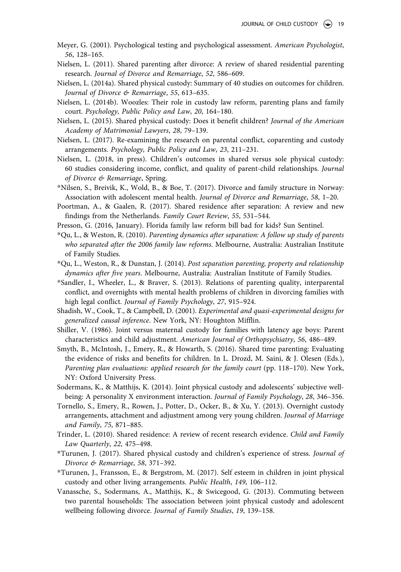- <span id="page-19-0"></span>Meyer, G. (2001). Psychological testing and psychological assessment. *American Psychologist*, *56*, 128–165.
- Nielsen, L. (2011). Shared parenting after divorce: A review of shared residential parenting research. *Journal of Divorce and Remarriage*, *52*, 586–609.
- Nielsen, L. (2014a). Shared physical custody: Summary of 40 studies on outcomes for children. *Journal of Divorce & Remarriage*, *55*, 613–635.
- Nielsen, L. (2014b). Woozles: Their role in custody law reform, parenting plans and family court. *Psychology, Public Policy and Law*, *20*, 164–180.
- Nielsen, L. (2015). Shared physical custody: Does it benefit children? *Journal of the American Academy of Matrimonial Lawyers*, *28*, 79–139.
- Nielsen, L. (2017). Re-examining the research on parental conflict, coparenting and custody arrangements. *Psychology, Public Policy and Law*, *23*, 211–231.
- Nielsen, L. (2018, in press). Children's outcomes in shared versus sole physical custody: 60 studies considering income, conflict, and quality of parent-child relationships. *Journal of Divorce & Remarriage*, Spring.
- \*Nilsen, S., Breivik, K., Wold, B., & Boe, T. (2017). Divorce and family structure in Norway: Association with adolescent mental health. *Journal of Divorce and Remarriage*, *58*, 1–20.
- Poortman, A., & Gaalen, R. (2017). Shared residence after separation: A review and new findings from the Netherlands. *Family Court Review*, *55*, 531–544.
- Presson, G. (2016, January). Florida family law reform bill bad for kids? Sun Sentinel.
- \*Qu, L., & Weston, R. (2010). *Parenting dynamics after separation: A follow up study of parents who separated after the 2006 family law reforms*. Melbourne, Australia: Australian Institute of Family Studies.
- \*Qu, L., Weston, R., & Dunstan, J. (2014). *Post separation parenting, property and relationship dynamics after five years*. Melbourne, Australia: Australian Institute of Family Studies.
- \*Sandler, I., Wheeler, L., & Braver, S. (2013). Relations of parenting quality, interparental conflict, and overnights with mental health problems of children in divorcing families with high legal conflict. *Journal of Family Psychology*, *27*, 915–924.
- Shadish, W., Cook, T., & Campbell, D. (2001). *Experimental and quasi-experimental designs for generalized causal inference*. New York, NY: Houghton Mifflin.
- Shiller, V. (1986). Joint versus maternal custody for families with latency age boys: Parent characteristics and child adjustment. *American Journal of Orthopsychiatry*, *56*, 486–489.
- Smyth, B., McIntosh, J., Emery, R., & Howarth, S. (2016). Shared time parenting: Evaluating the evidence of risks and benefits for children. In L. Drozd, M. Saini, & J. Olesen (Eds.), *Parenting plan evaluations: applied research for the family court* (pp. 118–170). New York, NY: Oxford University Press.
- Sodermans, K., & Matthijs, K. (2014). Joint physical custody and adolescents' subjective wellbeing: A personality X environment interaction. *Journal of Family Psychology*, *28*, 346–356.
- Tornello, S., Emery, R., Rowen, J., Potter, D., Ocker, B., & Xu, Y. (2013). Overnight custody arrangements, attachment and adjustment among very young children. *Journal of Marriage and Family*, *75*, 871–885.
- Trinder, L. (2010). Shared residence: A review of recent research evidence. *Child and Family Law Quarterly*, *22*, 475–498.
- \*Turunen, J. (2017). Shared physical custody and children's experience of stress. *Journal of Divorce & Remarriage*, *58*, 371–392.
- \*Turunen, J., Fransson, E., & Bergstrom, M. (2017). Self esteem in children in joint physical custody and other living arrangements. *Public Health*, *149*, 106–112.
- Vanassche, S., Sodermans, A., Matthijs, K., & Swicegood, G. (2013). Commuting between two parental households: The association between joint physical custody and adolescent wellbeing following divorce. *Journal of Family Studies*, *19*, 139–158.